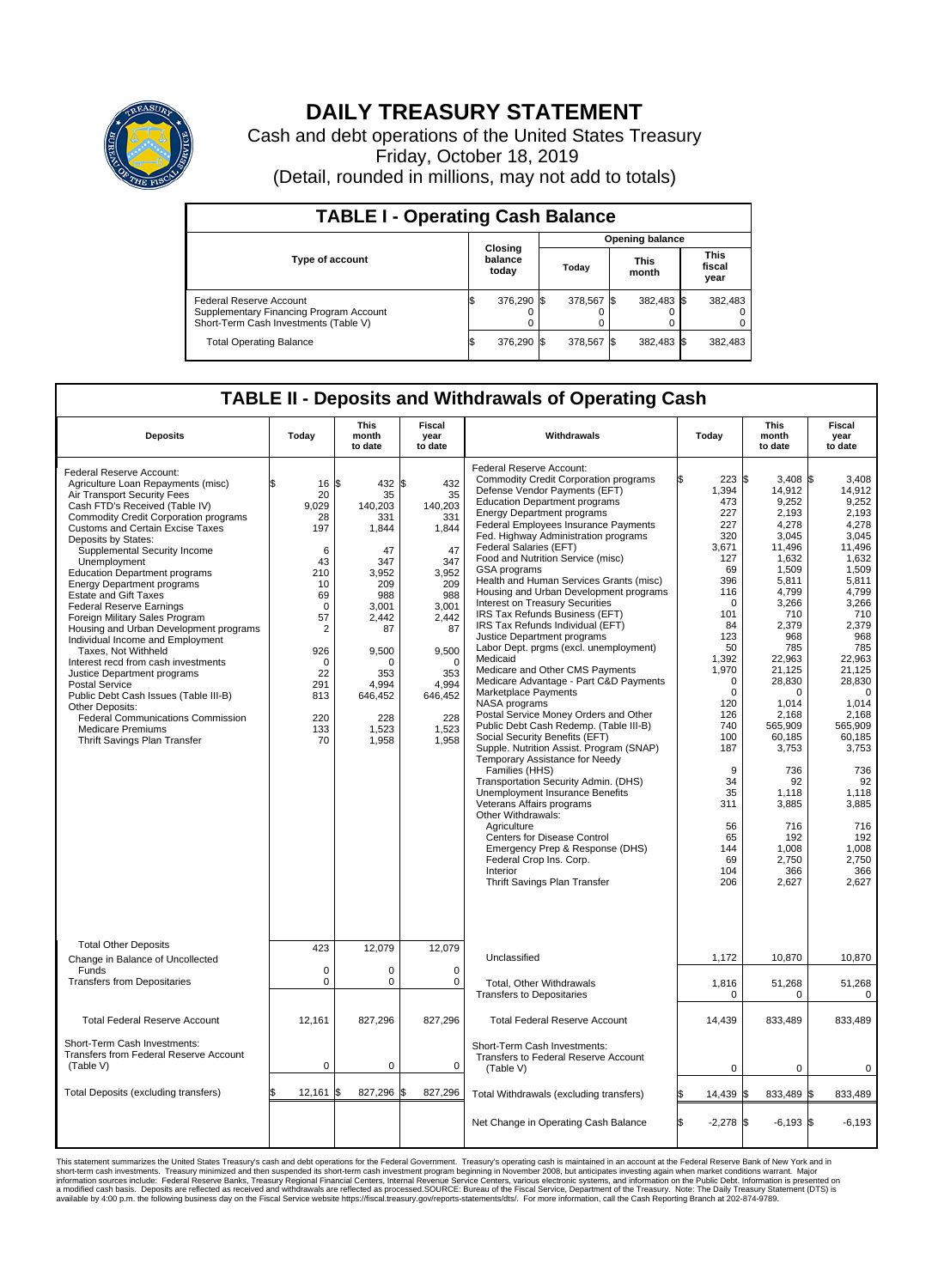

## **DAILY TREASURY STATEMENT**

Cash and debt operations of the United States Treasury Friday, October 18, 2019 (Detail, rounded in millions, may not add to totals)

| <b>TABLE I - Operating Cash Balance</b>                                                                     |                                    |            |       |                        |                      |            |  |                               |  |  |  |
|-------------------------------------------------------------------------------------------------------------|------------------------------------|------------|-------|------------------------|----------------------|------------|--|-------------------------------|--|--|--|
|                                                                                                             | <b>Closing</b><br>balance<br>today |            |       | <b>Opening balance</b> |                      |            |  |                               |  |  |  |
| <b>Type of account</b>                                                                                      |                                    |            | Today |                        | <b>This</b><br>month |            |  | <b>This</b><br>fiscal<br>year |  |  |  |
| Federal Reserve Account<br>Supplementary Financing Program Account<br>Short-Term Cash Investments (Table V) |                                    | 376,290 \$ |       | 378.567 \$             |                      | 382,483 \$ |  | 382,483                       |  |  |  |
| <b>Total Operating Balance</b>                                                                              | IЭ                                 | 376,290 \$ |       | 378,567 \$             |                      | 382,483 \$ |  | 382,483                       |  |  |  |

## **TABLE II - Deposits and Withdrawals of Operating Cash**

| <b>Deposits</b>                                                                                                                                                                                                                                                                                                                                                                                                                                                                                                                                                                                                                                                                                                                                                                                                                                             | Today                                                                                                                                                                             | <b>This</b><br>month<br>to date                                                                                                                                       | <b>Fiscal</b><br>year<br>to date                                                                                                                                          | Withdrawals                                                                                                                                                                                                                                                                                                                                                                                                                                                                                                                                                                                                                                                                                                                                                                                                                                                                                                                                                                                                                                                                                                                                                                                                                                                               | Today                                                                                                                                                                                                                                                       | <b>This</b><br>month<br>to date                                                                                                                                                                                                                                                                                  | <b>Fiscal</b><br>year<br>to date                                                                                                                                                                                                                                                                                     |  |
|-------------------------------------------------------------------------------------------------------------------------------------------------------------------------------------------------------------------------------------------------------------------------------------------------------------------------------------------------------------------------------------------------------------------------------------------------------------------------------------------------------------------------------------------------------------------------------------------------------------------------------------------------------------------------------------------------------------------------------------------------------------------------------------------------------------------------------------------------------------|-----------------------------------------------------------------------------------------------------------------------------------------------------------------------------------|-----------------------------------------------------------------------------------------------------------------------------------------------------------------------|---------------------------------------------------------------------------------------------------------------------------------------------------------------------------|---------------------------------------------------------------------------------------------------------------------------------------------------------------------------------------------------------------------------------------------------------------------------------------------------------------------------------------------------------------------------------------------------------------------------------------------------------------------------------------------------------------------------------------------------------------------------------------------------------------------------------------------------------------------------------------------------------------------------------------------------------------------------------------------------------------------------------------------------------------------------------------------------------------------------------------------------------------------------------------------------------------------------------------------------------------------------------------------------------------------------------------------------------------------------------------------------------------------------------------------------------------------------|-------------------------------------------------------------------------------------------------------------------------------------------------------------------------------------------------------------------------------------------------------------|------------------------------------------------------------------------------------------------------------------------------------------------------------------------------------------------------------------------------------------------------------------------------------------------------------------|----------------------------------------------------------------------------------------------------------------------------------------------------------------------------------------------------------------------------------------------------------------------------------------------------------------------|--|
| Federal Reserve Account:<br>Agriculture Loan Repayments (misc)<br>Air Transport Security Fees<br>Cash FTD's Received (Table IV)<br><b>Commodity Credit Corporation programs</b><br><b>Customs and Certain Excise Taxes</b><br>Deposits by States:<br>Supplemental Security Income<br>Unemployment<br><b>Education Department programs</b><br><b>Energy Department programs</b><br><b>Estate and Gift Taxes</b><br><b>Federal Reserve Earnings</b><br>Foreign Military Sales Program<br>Housing and Urban Development programs<br>Individual Income and Employment<br>Taxes. Not Withheld<br>Interest recd from cash investments<br>Justice Department programs<br><b>Postal Service</b><br>Public Debt Cash Issues (Table III-B)<br>Other Deposits:<br><b>Federal Communications Commission</b><br><b>Medicare Premiums</b><br>Thrift Savings Plan Transfer | $16 \,$ $\uparrow$<br>20<br>9.029<br>28<br>197<br>6<br>43<br>210<br>10<br>69<br>$\mathbf 0$<br>57<br>$\overline{2}$<br>926<br>$\mathbf 0$<br>22<br>291<br>813<br>220<br>133<br>70 | 432 \$<br>35<br>140.203<br>331<br>1,844<br>47<br>347<br>3,952<br>209<br>988<br>3,001<br>2,442<br>87<br>9,500<br>n<br>353<br>4,994<br>646,452<br>228<br>1,523<br>1,958 | 432<br>35<br>140.203<br>331<br>1,844<br>47<br>347<br>3,952<br>209<br>988<br>3,001<br>2,442<br>87<br>9,500<br>$\Omega$<br>353<br>4,994<br>646,452<br>228<br>1,523<br>1,958 | Federal Reserve Account:<br><b>Commodity Credit Corporation programs</b><br>Defense Vendor Payments (EFT)<br><b>Education Department programs</b><br><b>Energy Department programs</b><br>Federal Employees Insurance Payments<br>Fed. Highway Administration programs<br>Federal Salaries (EFT)<br>Food and Nutrition Service (misc)<br>GSA programs<br>Health and Human Services Grants (misc)<br>Housing and Urban Development programs<br>Interest on Treasury Securities<br>IRS Tax Refunds Business (EFT)<br>IRS Tax Refunds Individual (EFT)<br>Justice Department programs<br>Labor Dept. prgms (excl. unemployment)<br>Medicaid<br>Medicare and Other CMS Payments<br>Medicare Advantage - Part C&D Payments<br>Marketplace Payments<br>NASA programs<br>Postal Service Money Orders and Other<br>Public Debt Cash Redemp. (Table III-B)<br>Social Security Benefits (EFT)<br>Supple. Nutrition Assist. Program (SNAP)<br>Temporary Assistance for Needy<br>Families (HHS)<br>Transportation Security Admin. (DHS)<br>Unemployment Insurance Benefits<br>Veterans Affairs programs<br>Other Withdrawals:<br>Agriculture<br>Centers for Disease Control<br>Emergency Prep & Response (DHS)<br>Federal Crop Ins. Corp.<br>Interior<br>Thrift Savings Plan Transfer | 223S<br>1,394<br>473<br>227<br>227<br>320<br>3,671<br>127<br>69<br>396<br>116<br>$\Omega$<br>101<br>84<br>123<br>50<br>1,392<br>1,970<br>0<br>$\mathbf 0$<br>120<br>126<br>740<br>100<br>187<br>9<br>34<br>35<br>311<br>56<br>65<br>144<br>69<br>104<br>206 | $3.408$ \\$<br>14,912<br>9,252<br>2.193<br>4,278<br>3,045<br>11,496<br>1,632<br>1,509<br>5,811<br>4.799<br>3,266<br>710<br>2,379<br>968<br>785<br>22,963<br>21,125<br>28,830<br>0<br>1,014<br>2.168<br>565,909<br>60,185<br>3,753<br>736<br>92<br>1.118<br>3,885<br>716<br>192<br>1,008<br>2,750<br>366<br>2,627 | 3,408<br>14,912<br>9,252<br>2.193<br>4.278<br>3,045<br>11,496<br>1.632<br>1,509<br>5,811<br>4.799<br>3,266<br>710<br>2,379<br>968<br>785<br>22,963<br>21.125<br>28,830<br>$\mathbf 0$<br>1,014<br>2.168<br>565,909<br>60.185<br>3,753<br>736<br>92<br>1.118<br>3,885<br>716<br>192<br>1,008<br>2,750<br>366<br>2,627 |  |
| <b>Total Other Deposits</b><br>Change in Balance of Uncollected                                                                                                                                                                                                                                                                                                                                                                                                                                                                                                                                                                                                                                                                                                                                                                                             | 423                                                                                                                                                                               | 12,079                                                                                                                                                                | 12,079                                                                                                                                                                    | Unclassified                                                                                                                                                                                                                                                                                                                                                                                                                                                                                                                                                                                                                                                                                                                                                                                                                                                                                                                                                                                                                                                                                                                                                                                                                                                              | 1,172                                                                                                                                                                                                                                                       | 10.870                                                                                                                                                                                                                                                                                                           | 10,870                                                                                                                                                                                                                                                                                                               |  |
| Funds<br><b>Transfers from Depositaries</b>                                                                                                                                                                                                                                                                                                                                                                                                                                                                                                                                                                                                                                                                                                                                                                                                                 | $\mathbf 0$<br>$\mathbf 0$                                                                                                                                                        | 0<br>0                                                                                                                                                                | $\mathbf 0$<br>$\mathbf 0$                                                                                                                                                | Total, Other Withdrawals<br><b>Transfers to Depositaries</b>                                                                                                                                                                                                                                                                                                                                                                                                                                                                                                                                                                                                                                                                                                                                                                                                                                                                                                                                                                                                                                                                                                                                                                                                              | 1,816<br>0                                                                                                                                                                                                                                                  | 51,268<br>0                                                                                                                                                                                                                                                                                                      | 51,268<br>0                                                                                                                                                                                                                                                                                                          |  |
| <b>Total Federal Reserve Account</b>                                                                                                                                                                                                                                                                                                                                                                                                                                                                                                                                                                                                                                                                                                                                                                                                                        | 12,161                                                                                                                                                                            | 827,296                                                                                                                                                               | 827,296                                                                                                                                                                   | <b>Total Federal Reserve Account</b>                                                                                                                                                                                                                                                                                                                                                                                                                                                                                                                                                                                                                                                                                                                                                                                                                                                                                                                                                                                                                                                                                                                                                                                                                                      | 14,439                                                                                                                                                                                                                                                      | 833,489                                                                                                                                                                                                                                                                                                          | 833,489                                                                                                                                                                                                                                                                                                              |  |
| Short-Term Cash Investments:<br>Transfers from Federal Reserve Account<br>(Table V)                                                                                                                                                                                                                                                                                                                                                                                                                                                                                                                                                                                                                                                                                                                                                                         | 0                                                                                                                                                                                 | 0                                                                                                                                                                     | $\mathbf 0$                                                                                                                                                               | Short-Term Cash Investments:<br>Transfers to Federal Reserve Account<br>(Table V)                                                                                                                                                                                                                                                                                                                                                                                                                                                                                                                                                                                                                                                                                                                                                                                                                                                                                                                                                                                                                                                                                                                                                                                         | $\mathbf 0$                                                                                                                                                                                                                                                 | $\mathbf 0$                                                                                                                                                                                                                                                                                                      | $\mathbf 0$                                                                                                                                                                                                                                                                                                          |  |
| Total Deposits (excluding transfers)                                                                                                                                                                                                                                                                                                                                                                                                                                                                                                                                                                                                                                                                                                                                                                                                                        | 12,161<br>\$                                                                                                                                                                      | 827,296                                                                                                                                                               | \$<br>827,296                                                                                                                                                             | Total Withdrawals (excluding transfers)                                                                                                                                                                                                                                                                                                                                                                                                                                                                                                                                                                                                                                                                                                                                                                                                                                                                                                                                                                                                                                                                                                                                                                                                                                   | 14,439 \$                                                                                                                                                                                                                                                   | 833,489 \$                                                                                                                                                                                                                                                                                                       | 833,489                                                                                                                                                                                                                                                                                                              |  |
|                                                                                                                                                                                                                                                                                                                                                                                                                                                                                                                                                                                                                                                                                                                                                                                                                                                             |                                                                                                                                                                                   |                                                                                                                                                                       |                                                                                                                                                                           | Net Change in Operating Cash Balance                                                                                                                                                                                                                                                                                                                                                                                                                                                                                                                                                                                                                                                                                                                                                                                                                                                                                                                                                                                                                                                                                                                                                                                                                                      | Ŝ.<br>$-2,278$ \$                                                                                                                                                                                                                                           | $-6.193$ \\$                                                                                                                                                                                                                                                                                                     | $-6.193$                                                                                                                                                                                                                                                                                                             |  |

This statement summarizes the United States Treasury's cash and debt operations for the Federal Government. Treasury operating in November 2008, but anticinates investing again when market conditions warrant. Major York an